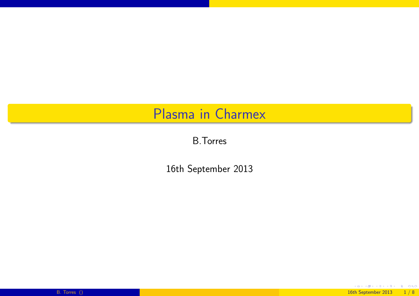#### Plasma in Charmex

B.Torres

<span id="page-0-0"></span>16th September <sup>2013</sup>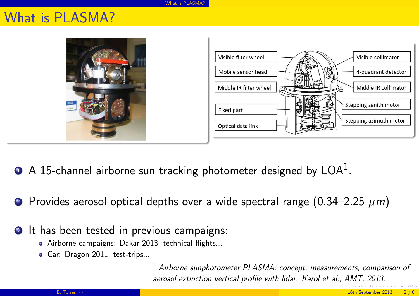What is [PLASMA?](#page-1-0)

#### What is PLASMA?





- 1 $\, {\bf p} \,$  A 15-channel airborne sun tracking photometer designed by LOA $^1$ .
- 2Provides aerosol optical depths over a wide spectral range  $(0.34-2.25 \ \mu m)$
- <span id="page-1-0"></span>**3** It has been tested in previous campaigns:
	- Airborne campaigns: Dakar 2013, technical flights...
	- Car: Dragon 2011, test-trips...

 $^1$  Airborne sunphotometer PLASMA: concept, measurements, comparison of aerosol extinction vertical profile with lidar. Karol et al., AMT,2013.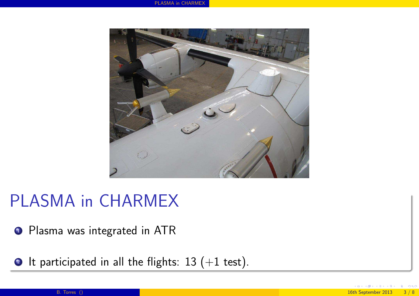

# PLASMA in CHARMEX

**1** Plasma was integrated in ATR

<span id="page-2-0"></span> $\textcolor{blue}{\bullet}$  It participated in all the flights:  $13 \; (+1 \; \text{test}) .$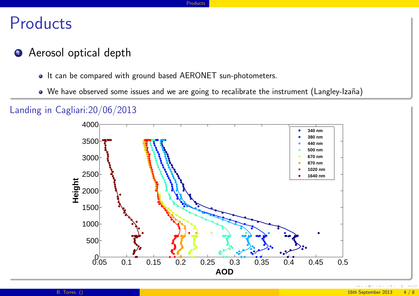## Products

- 1 Aerosol optical depth
	- It can be compared with ground based AERONET sun-photometers.
	- We have observed some issues and we are going to recalibrate the instrument (Langley-Izaña)

Landing in Cagliari:20/06/2013

<span id="page-3-0"></span>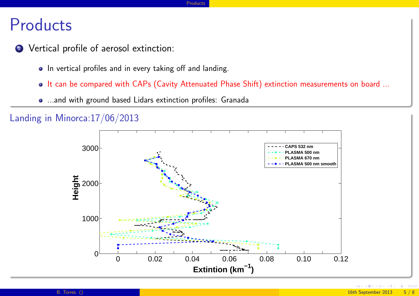## Products

- 2 Vertical profile of aerosol extinction:
	- In vertical profiles and in every taking off and landing.
	- o It can be compared with CAPs (Cavity Attenuated Phase Shift) extinction measurements on board ...
	- ...and with groun<sup>d</sup> based Lidars extinction profiles: Granada



<span id="page-4-0"></span>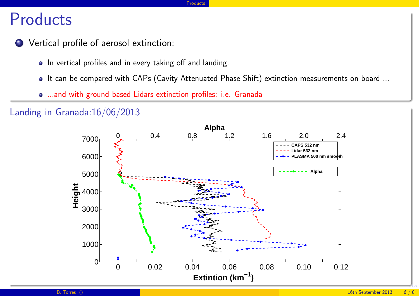# Products

- 2 Vertical profile of aerosol extinction:
	- In vertical profiles and in every taking off and landing.
	- It can be compared with CAPs (Cavity Attenuated Phase Shift) extinction measurements on board ...

[Products](#page-5-0)

...and with groun<sup>d</sup> based Lidars extinction profiles: i.e. Granada

#### Landing in Granada:16/06/2013

<span id="page-5-0"></span>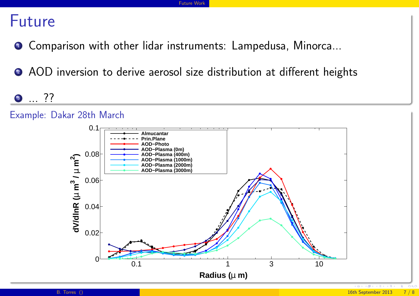### Future

- 1Comparison with other lidar instruments: Lampedusa, Minorca...
- 2 AOD inversion to derive aerosol size distribution at different heights

3 ??

<span id="page-6-0"></span>